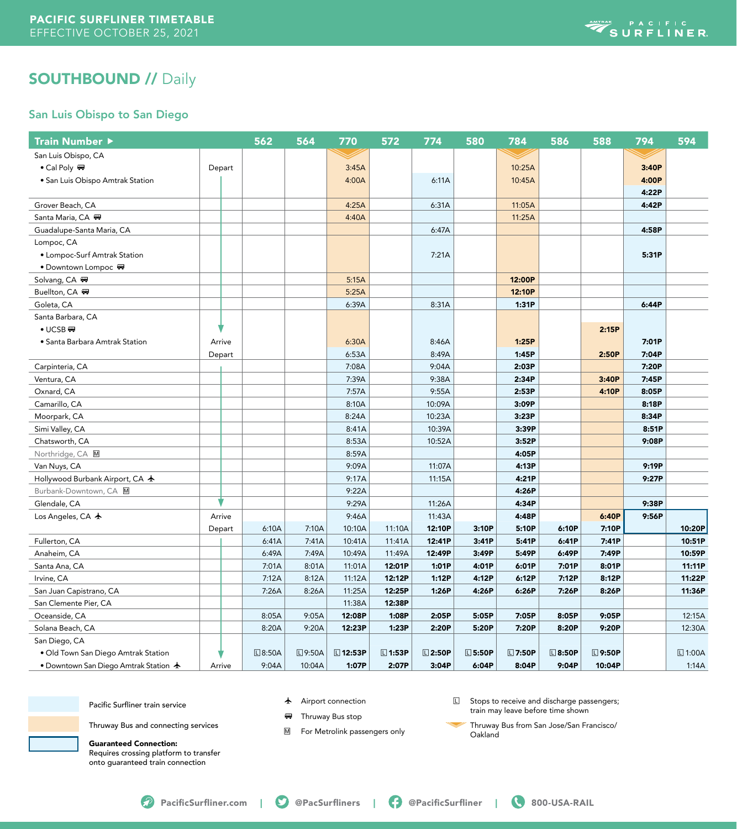

# **SOUTHBOUND // Daily**

### San Luis Obispo to San Diego

| <b>Train Number ▶</b>                          |        | 562    | 564           | 770             | 572             | 774             | 580             | 784             | 586             | 588             | 794   | 594             |
|------------------------------------------------|--------|--------|---------------|-----------------|-----------------|-----------------|-----------------|-----------------|-----------------|-----------------|-------|-----------------|
| San Luis Obispo, CA                            |        |        |               |                 |                 |                 |                 |                 |                 |                 |       |                 |
| • Cal Poly <a></a>                             | Depart |        |               | 3:45A           |                 |                 |                 | 10:25A          |                 |                 | 3:40P |                 |
| · San Luis Obispo Amtrak Station               |        |        |               | 4:00A           |                 | 6:11A           |                 | 10:45A          |                 |                 | 4:00P |                 |
|                                                |        |        |               |                 |                 |                 |                 |                 |                 |                 | 4:22P |                 |
| Grover Beach, CA                               |        |        |               | 4:25A           |                 | 6:31A           |                 | 11:05A          |                 |                 | 4:42P |                 |
| Santa Maria, CA 冊                              |        |        |               | 4:40A           |                 |                 |                 | 11:25A          |                 |                 |       |                 |
| Guadalupe-Santa Maria, CA                      |        |        |               |                 |                 | 6:47A           |                 |                 |                 |                 | 4:58P |                 |
| Lompoc, CA                                     |        |        |               |                 |                 |                 |                 |                 |                 |                 |       |                 |
| • Lompoc-Surf Amtrak Station                   |        |        |               |                 |                 | 7:21A           |                 |                 |                 |                 | 5:31P |                 |
| ● Downtown Lompoc 四                            |        |        |               |                 |                 |                 |                 |                 |                 |                 |       |                 |
| Solvang, CA <sub>™</sub>                       |        |        |               | 5:15A           |                 |                 |                 | 12:00P          |                 |                 |       |                 |
| Buellton, CA 啊                                 |        |        |               | 5:25A           |                 |                 |                 | 12:10P          |                 |                 |       |                 |
| Goleta, CA                                     |        |        |               | 6:39A           |                 | 8:31A           |                 | 1:31P           |                 |                 | 6:44P |                 |
| Santa Barbara, CA                              |        |        |               |                 |                 |                 |                 |                 |                 |                 |       |                 |
| $\bullet$ UCSB                                 |        |        |               |                 |                 |                 |                 |                 |                 | 2:15P           |       |                 |
| • Santa Barbara Amtrak Station                 | Arrive |        |               | 6:30A           |                 | 8:46A           |                 | 1:25P           |                 |                 | 7:01P |                 |
|                                                | Depart |        |               | 6:53A           |                 | 8:49A           |                 | 1:45P           |                 | 2:50P           | 7:04P |                 |
| Carpinteria, CA                                |        |        |               | 7:08A           |                 | 9:04A           |                 | 2:03P           |                 |                 | 7:20P |                 |
| Ventura, CA                                    |        |        |               | 7:39A           |                 | 9:38A           |                 | 2:34P           |                 | 3:40P           | 7:45P |                 |
| Oxnard, CA                                     |        |        |               | 7:57A           |                 | 9:55A           |                 | 2:53P           |                 | 4:10P           | 8:05P |                 |
| Camarillo, CA                                  |        |        |               | 8:10A           |                 | 10:09A          |                 | 3:09P           |                 |                 | 8:18P |                 |
| Moorpark, CA                                   |        |        |               | 8:24A           |                 | 10:23A          |                 | 3:23P           |                 |                 | 8:34P |                 |
| Simi Valley, CA                                |        |        |               | 8:41A           |                 | 10:39A          |                 | 3:39P           |                 |                 | 8:51P |                 |
| Chatsworth, CA                                 |        |        |               | 8:53A           |                 | 10:52A          |                 | 3:52P           |                 |                 | 9:08P |                 |
| Northridge, CA M                               |        |        |               | 8:59A           |                 |                 |                 | 4:05P           |                 |                 |       |                 |
| Van Nuys, CA                                   |        |        |               | 9:09A           |                 | 11:07A          |                 | 4:13P           |                 |                 | 9:19P |                 |
| Hollywood Burbank Airport, CA ★                |        |        |               | 9:17A           |                 | 11:15A          |                 | 4:21P           |                 |                 | 9:27P |                 |
| Burbank-Downtown, CA M                         |        |        |               | 9:22A           |                 |                 |                 | 4:26P           |                 |                 |       |                 |
| Glendale, CA                                   |        |        |               | 9:29A           |                 | 11:26A          |                 | 4:34P           |                 |                 | 9:38P |                 |
| Los Angeles, CA $\bigstar$                     | Arrive |        |               | 9:46A           |                 | 11:43A          |                 | 4:48P           |                 | 6:40P           | 9:56P |                 |
|                                                | Depart | 6:10A  | 7:10A         | 10:10A          | 11:10A          | 12:10P          | 3:10P           | 5:10P           | 6:10P           | 7:10P           |       | 10:20P          |
| Fullerton, CA                                  |        | 6:41A  | 7:41A         | 10:41A          | 11:41A          | 12:41P          | 3:41P           | 5:41P           | 6:41P           | 7:41P           |       | 10:51P          |
| Anaheim, CA                                    |        | 6:49A  | 7:49A         | 10:49A          | 11:49A          | 12:49P          | 3:49P           | 5:49P           | 6:49P           | 7:49P           |       | 10:59P          |
| Santa Ana, CA                                  |        | 7:01A  | 8:01A         | 11:01A          | 12:01P          | 1:01P           | 4:01P           | 6:01P           | 7:01P           | 8:01P           |       | 11:11P          |
| Irvine, CA                                     |        | 7:12A  | 8:12A         | 11:12A          | 12:12P          | 1:12P           | 4:12P           | 6:12P           | 7:12P           | 8:12P           |       | 11:22P          |
| San Juan Capistrano, CA                        |        | 7:26A  | 8:26A         | 11:25A          | 12:25P          | 1:26P           | 4:26P           | 6:26P           | 7:26P           | 8:26P           |       | 11:36P          |
| San Clemente Pier, CA                          |        |        |               | 11:38A          | 12:38P          |                 |                 |                 |                 |                 |       |                 |
| Oceanside, CA                                  |        | 8:05A  | 9:05A         | 12:08P          | 1:08P           | 2:05P           | 5:05P           | 7:05P           | 8:05P           | 9:05P           |       | 12:15A          |
| Solana Beach, CA                               |        | 8:20A  | 9:20A         | 12:23P          | 1:23P           | 2:20P           | 5:20P           | 7:20P           | 8:20P           | 9:20P           |       | 12:30A          |
| San Diego, CA                                  |        |        |               |                 |                 |                 |                 |                 |                 |                 |       |                 |
| · Old Town San Diego Amtrak Station            |        | □8:50A | <b>□9:50A</b> | <b>□ 12:53P</b> | $\square$ 1:53P | $\square$ 2:50P | $\square$ 5:50P | $\square$ 7:50P | $\square$ 8:50P | $\square$ 9:50P |       | $\square$ 1:00A |
| • Downtown San Diego Amtrak Station $\bigstar$ | Arrive | 9:04A  | 10:04A        | 1:07P           | 2:07P           | 3:04P           | 6:04P           | 8:04P           | 9:04P           | 10:04P          |       | 1:14A           |

Pacific Surfliner train service

 $\bigstar$  Airport connection

- 
- **Bus** Thruway Bus stop
- M For Metrolink passengers only

**L** Stops to receive and discharge passengers; train may leave before time shown

 Thruway Bus from San Jose/San Francisco/ Oakland

Guaranteed Connection:

Requires crossing platform to transfer onto guaranteed train connection

Thruway Bus and connecting services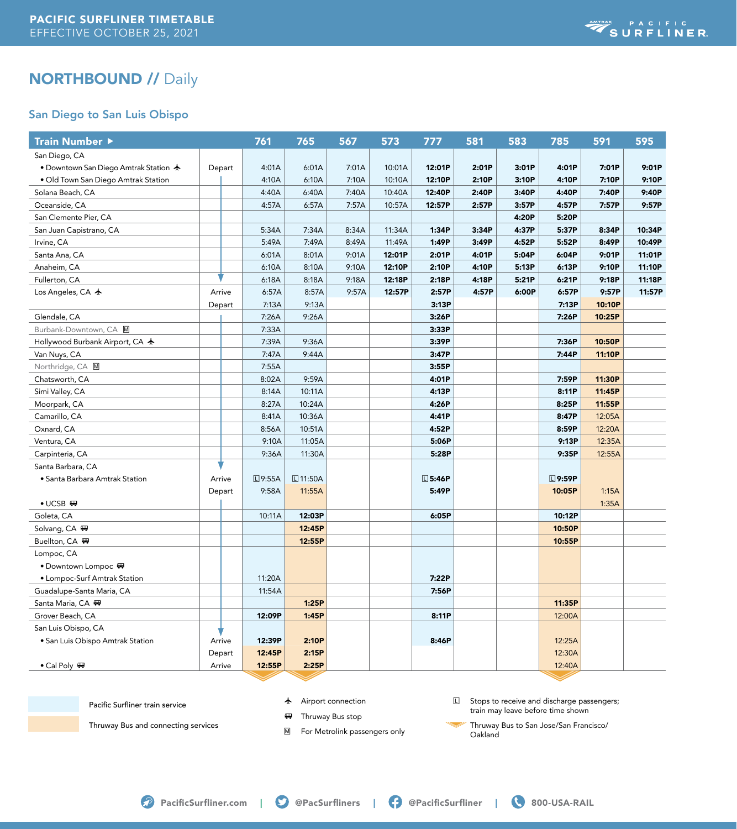

# NORTHBOUND // Daily

### San Diego to San Luis Obispo

| <b>Train Number ▶</b>                          |        | 761           |       | 765             | 567   | 573    | 777           | 581   | 583   | 785             | 591    | 595    |
|------------------------------------------------|--------|---------------|-------|-----------------|-------|--------|---------------|-------|-------|-----------------|--------|--------|
| San Diego, CA                                  |        |               |       |                 |       |        |               |       |       |                 |        |        |
| • Downtown San Diego Amtrak Station $\bigstar$ | Depart |               | 4:01A | 6:01A           | 7:01A | 10:01A | 12:01P        | 2:01P | 3:01P | 4:01P           | 7:01P  | 9:01P  |
| · Old Town San Diego Amtrak Station            |        |               | 4:10A | 6:10A           | 7:10A | 10:10A | 12:10P        | 2:10P | 3:10P | 4:10P           | 7:10P  | 9:10P  |
| Solana Beach, CA                               |        |               | 4:40A | 6:40A           | 7:40A | 10:40A | 12:40P        | 2:40P | 3:40P | 4:40P           | 7:40P  | 9:40P  |
| Oceanside, CA                                  |        |               | 4:57A | 6:57A           | 7:57A | 10:57A | 12:57P        | 2:57P | 3:57P | 4:57P           | 7:57P  | 9:57P  |
| San Clemente Pier, CA                          |        |               |       |                 |       |        |               |       | 4:20P | 5:20P           |        |        |
| San Juan Capistrano, CA                        |        |               | 5:34A | 7:34A           | 8:34A | 11:34A | 1:34P         | 3:34P | 4:37P | 5:37P           | 8:34P  | 10:34P |
| Irvine, CA                                     |        |               | 5:49A | 7:49A           | 8:49A | 11:49A | 1:49P         | 3:49P | 4:52P | 5:52P           | 8:49P  | 10:49P |
| Santa Ana, CA                                  |        |               | 6:01A | 8:01A           | 9:01A | 12:01P | 2:01P         | 4:01P | 5:04P | 6:04P           | 9:01P  | 11:01P |
| Anaheim, CA                                    |        |               | 6:10A | 8:10A           | 9:10A | 12:10P | 2:10P         | 4:10P | 5:13P | 6:13P           | 9:10P  | 11:10P |
| Fullerton, CA                                  |        |               | 6:18A | 8:18A           | 9:18A | 12:18P | 2:18P         | 4:18P | 5:21P | 6:21P           | 9:18P  | 11:18P |
| Los Angeles, CA $\bigstar$                     | Arrive |               | 6:57A | 8:57A           | 9:57A | 12:57P | 2:57P         | 4:57P | 6:00P | 6:57P           | 9:57P  | 11:57P |
|                                                | Depart |               | 7:13A | 9:13A           |       |        | 3:13P         |       |       | 7:13P           | 10:10P |        |
| Glendale, CA                                   |        |               | 7:26A | 9:26A           |       |        | 3:26P         |       |       | 7:26P           | 10:25P |        |
| Burbank-Downtown, CA M                         |        |               | 7:33A |                 |       |        | 3:33P         |       |       |                 |        |        |
| Hollywood Burbank Airport, CA ★                |        |               | 7:39A | 9:36A           |       |        | 3:39P         |       |       | 7:36P           | 10:50P |        |
| Van Nuys, CA                                   |        |               | 7:47A | 9:44A           |       |        | 3:47P         |       |       | 7:44P           | 11:10P |        |
| Northridge, CA M                               |        |               | 7:55A |                 |       |        | 3:55P         |       |       |                 |        |        |
| Chatsworth, CA                                 |        |               | 8:02A | 9:59A           |       |        | 4:01P         |       |       | 7:59P           | 11:30P |        |
| Simi Valley, CA                                |        |               | 8:14A | 10:11A          |       |        | 4:13P         |       |       | 8:11P           | 11:45P |        |
| Moorpark, CA                                   |        |               | 8:27A | 10:24A          |       |        | 4:26P         |       |       | 8:25P           | 11:55P |        |
| Camarillo, CA                                  |        |               | 8:41A | 10:36A          |       |        | 4:41P         |       |       | 8:47P           | 12:05A |        |
| Oxnard, CA                                     |        |               | 8:56A | 10:51A          |       |        | 4:52P         |       |       | 8:59P           | 12:20A |        |
| Ventura, CA                                    |        |               | 9:10A | 11:05A          |       |        | 5:06P         |       |       | 9:13P           | 12:35A |        |
| Carpinteria, CA                                |        |               | 9:36A | 11:30A          |       |        | 5:28P         |       |       | 9:35P           | 12:55A |        |
| Santa Barbara, CA                              |        |               |       |                 |       |        |               |       |       |                 |        |        |
| • Santa Barbara Amtrak Station                 | Arrive | <b>□9:55A</b> |       | <b>□ 11:50A</b> |       |        | <b>□5:46P</b> |       |       | $\square$ 9:59P |        |        |
|                                                | Depart |               | 9:58A | 11:55A          |       |        | 5:49P         |       |       | 10:05P          | 1:15A  |        |
| $\bullet$ UCSB $\blacksquare$                  |        |               |       |                 |       |        |               |       |       |                 | 1:35A  |        |
| Goleta, CA                                     |        | 10:11A        |       | 12:03P          |       |        | 6:05P         |       |       | 10:12P          |        |        |
| Solvang, CA <sub>™</sub>                       |        |               |       | 12:45P          |       |        |               |       |       | 10:50P          |        |        |
| Buellton, CA 四                                 |        |               |       | 12:55P          |       |        |               |       |       | 10:55P          |        |        |
| Lompoc, CA                                     |        |               |       |                 |       |        |               |       |       |                 |        |        |
| ● Downtown Lompoc #                            |        |               |       |                 |       |        |               |       |       |                 |        |        |
| • Lompoc-Surf Amtrak Station                   |        | 11:20A        |       |                 |       |        | 7:22P         |       |       |                 |        |        |
| Guadalupe-Santa Maria, CA                      |        | 11:54A        |       |                 |       |        | 7:56P         |       |       |                 |        |        |
| Santa Maria, CA 冊                              |        |               |       | 1:25P           |       |        |               |       |       | 11:35P          |        |        |
| Grover Beach, CA                               |        | 12:09P        |       | 1:45P           |       |        | 8:11P         |       |       | 12:00A          |        |        |
| San Luis Obispo, CA                            |        |               |       |                 |       |        |               |       |       |                 |        |        |
| • San Luis Obispo Amtrak Station               | Arrive | 12:39P        |       | 2:10P           |       |        | 8:46P         |       |       | 12:25A          |        |        |
|                                                | Depart | 12:45P        |       | 2:15P           |       |        |               |       |       | 12:30A          |        |        |
| • Cal Poly ₩                                   | Arrive | 12:55P        |       | 2:25P           |       |        |               |       |       | 12:40A          |        |        |

Pacific Surfliner train service

 $\bigstar$  Airport connection

**FF** Thruway Bus stop

Thruway Bus and connecting services

M For Metrolink passengers only

L Stops to receive and discharge passengers; train may leave before time shown

 Thruway Bus to San Jose/San Francisco/ Oakland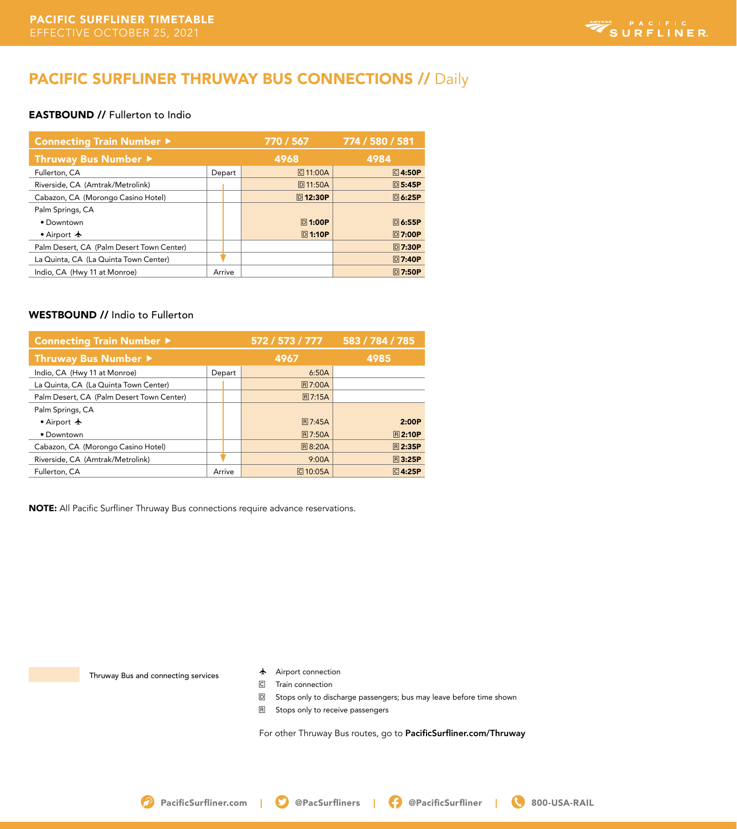# SURFLINER

## PACIFIC SURFLINER THRUWAY BUS CONNECTIONS // Daily

#### EASTBOUND // Fullerton to Indio

| <b>Connecting Train Number ▶</b>          | 770 / 567 | 774 / 580 / 581 |                |               |
|-------------------------------------------|-----------|-----------------|----------------|---------------|
| Thruway Bus Number ▶                      | 4968      | 4984            |                |               |
| Fullerton, CA                             |           | Depart          | C 11:00A       | <b>C4:50P</b> |
| Riverside, CA (Amtrak/Metrolink)          |           |                 | <b>回11:50A</b> | <b>回5:45P</b> |
| Cabazon, CA (Morongo Casino Hotel)        |           |                 | <b>回12:30P</b> | <b>回6:25P</b> |
| Palm Springs, CA                          |           |                 |                |               |
| • Downtown                                |           |                 | <b>D1:00P</b>  | <b>回6:55P</b> |
| • Airport $\bigstar$                      |           |                 | <b>回1:10P</b>  | <b>回7:00P</b> |
| Palm Desert, CA (Palm Desert Town Center) |           |                 |                | <b>回7:30P</b> |
| La Quinta, CA (La Quinta Town Center)     |           |                 |                | <b>D7:40P</b> |
| Indio, CA (Hwy 11 at Monroe)              | Arrive    |                 |                | <b>回7:50P</b> |

#### WESTBOUND // Indio to Fullerton

| Connecting Train Number ▶                 | 572 / 573 / 777 | 583 / 784 / 785 |                |               |
|-------------------------------------------|-----------------|-----------------|----------------|---------------|
| Thruway Bus Number ▶                      | 4967            | 4985            |                |               |
| Indio, CA (Hwy 11 at Monroe)              | Depart          |                 | 6:50A          |               |
| La Quinta, CA (La Quinta Town Center)     |                 |                 | <b>R 7:00A</b> |               |
| Palm Desert, CA (Palm Desert Town Center) |                 |                 | <b>R 7:15A</b> |               |
| Palm Springs, CA                          |                 |                 |                |               |
| • Airport $\bigstar$                      |                 |                 | R 7:45A        | 2:00P         |
| • Downtown                                |                 |                 | <b>R7:50A</b>  | <b>R2:10P</b> |
| Cabazon, CA (Morongo Casino Hotel)        |                 |                 | <b>R8:20A</b>  | <b>R2:35P</b> |
| Riverside, CA (Amtrak/Metrolink)          |                 |                 | 9:00A          | <b>R3:25P</b> |
| Fullerton, CA                             | Arrive          |                 | $\Box$ 10:05A  | <b>C4:25P</b> |

NOTE: All Pacific Surfliner Thruway Bus connections require advance reservations.

Thruway Bus and connecting services

- $\bigstar$  Airport connection
- C Train connection
- D Stops only to discharge passengers; bus may leave before time shown
- R Stops only to receive passengers

For other Thruway Bus routes, go to PacificSurfliner.com/Thruway

**P** PacificSurfliner.com | **O** @PacSurfliners | **C** @PacificSurfliner | **8** 800-USA-RAIL